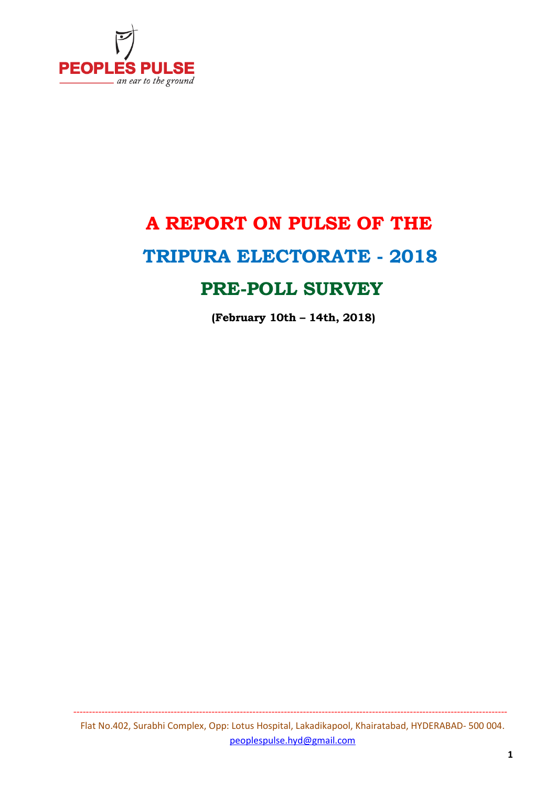

# **A REPORT ON PULSE OF THE TRIPURA ELECTORATE - 2018**

# **PRE-POLL SURVEY**

 **(February 10th – 14th, 2018)**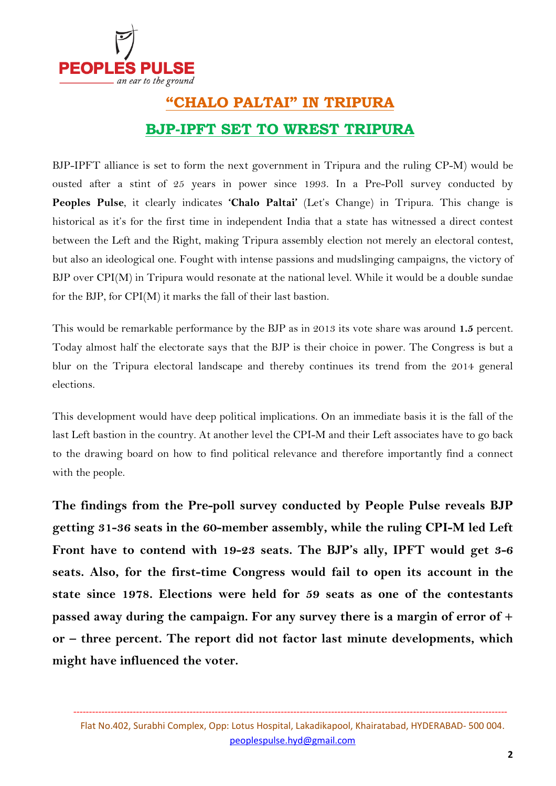

# **"CHALO PALTAI" IN TRIPURA BJP-IPFT SET TO WREST TRIPURA**

BJP-IPFT alliance is set to form the next government in Tripura and the ruling CP-M) would be ousted after a stint of 25 years in power since 1993. In a Pre-Poll survey conducted by **Peoples Pulse**, it clearly indicates **'Chalo Paltai'** (Let's Change) in Tripura. This change is historical as it's for the first time in independent India that a state has witnessed a direct contest between the Left and the Right, making Tripura assembly election not merely an electoral contest, but also an ideological one. Fought with intense passions and mudslinging campaigns, the victory of BJP over CPI(M) in Tripura would resonate at the national level. While it would be a double sundae for the BJP, for CPI(M) it marks the fall of their last bastion.

This would be remarkable performance by the BJP as in 2013 its vote share was around **1.5** percent. Today almost half the electorate says that the BJP is their choice in power. The Congress is but a blur on the Tripura electoral landscape and thereby continues its trend from the 2014 general elections.

This development would have deep political implications. On an immediate basis it is the fall of the last Left bastion in the country. At another level the CPI-M and their Left associates have to go back to the drawing board on how to find political relevance and therefore importantly find a connect with the people.

**The findings from the Pre-poll survey conducted by People Pulse reveals BJP getting 31-36 seats in the 60-member assembly, while the ruling CPI-M led Left Front have to contend with 19-23 seats. The BJP's ally, IPFT would get 3-6 seats. Also, for the first-time Congress would fail to open its account in the state since 1978. Elections were held for 59 seats as one of the contestants passed away during the campaign. For any survey there is a margin of error of + or – three percent. The report did not factor last minute developments, which might have influenced the voter.**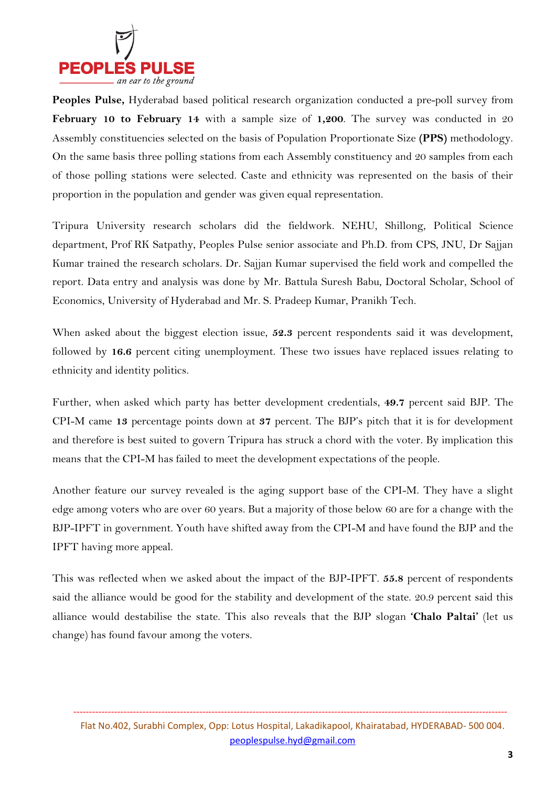

**Peoples Pulse,** Hyderabad based political research organization conducted a pre-poll survey from **February 10 to February 14** with a sample size of **1,200**. The survey was conducted in 20 Assembly constituencies selected on the basis of Population Proportionate Size **(PPS)** methodology. On the same basis three polling stations from each Assembly constituency and 20 samples from each of those polling stations were selected. Caste and ethnicity was represented on the basis of their proportion in the population and gender was given equal representation.

Tripura University research scholars did the fieldwork. NEHU, Shillong, Political Science department, Prof RK Satpathy, Peoples Pulse senior associate and Ph.D. from CPS, JNU, Dr Sajjan Kumar trained the research scholars. Dr. Sajjan Kumar supervised the field work and compelled the report. Data entry and analysis was done by Mr. Battula Suresh Babu, Doctoral Scholar, School of Economics, University of Hyderabad and Mr. S. Pradeep Kumar, Pranikh Tech.

When asked about the biggest election issue, **52.3** percent respondents said it was development, followed by **16.6** percent citing unemployment. These two issues have replaced issues relating to ethnicity and identity politics.

Further, when asked which party has better development credentials, **49.7** percent said BJP. The CPI-M came **13** percentage points down at **37** percent. The BJP's pitch that it is for development and therefore is best suited to govern Tripura has struck a chord with the voter. By implication this means that the CPI-M has failed to meet the development expectations of the people.

Another feature our survey revealed is the aging support base of the CPI-M. They have a slight edge among voters who are over 60 years. But a majority of those below 60 are for a change with the BJP-IPFT in government. Youth have shifted away from the CPI-M and have found the BJP and the IPFT having more appeal.

This was reflected when we asked about the impact of the BJP-IPFT. **55.8** percent of respondents said the alliance would be good for the stability and development of the state. 20.9 percent said this alliance would destabilise the state. This also reveals that the BJP slogan **'Chalo Paltai'** (let us change) has found favour among the voters.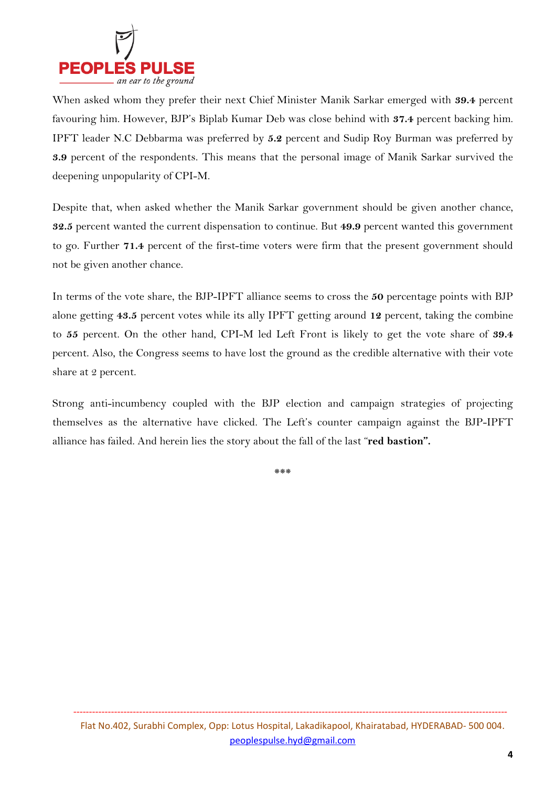

When asked whom they prefer their next Chief Minister Manik Sarkar emerged with **39.4** percent favouring him. However, BJP's Biplab Kumar Deb was close behind with **37.4** percent backing him. IPFT leader N.C Debbarma was preferred by **5.2** percent and Sudip Roy Burman was preferred by **3.9** percent of the respondents. This means that the personal image of Manik Sarkar survived the deepening unpopularity of CPI-M.

Despite that, when asked whether the Manik Sarkar government should be given another chance, **32.5** percent wanted the current dispensation to continue. But **49.9** percent wanted this government to go. Further **71.4** percent of the first-time voters were firm that the present government should not be given another chance.

In terms of the vote share, the BJP-IPFT alliance seems to cross the **50** percentage points with BJP alone getting **43.5** percent votes while its ally IPFT getting around **12** percent, taking the combine to **55** percent. On the other hand, CPI-M led Left Front is likely to get the vote share of **39.4** percent. Also, the Congress seems to have lost the ground as the credible alternative with their vote share at 2 percent.

Strong anti-incumbency coupled with the BJP election and campaign strategies of projecting themselves as the alternative have clicked. The Left's counter campaign against the BJP-IPFT alliance has failed. And herein lies the story about the fall of the last "**red bastion".** 

**\*\*\***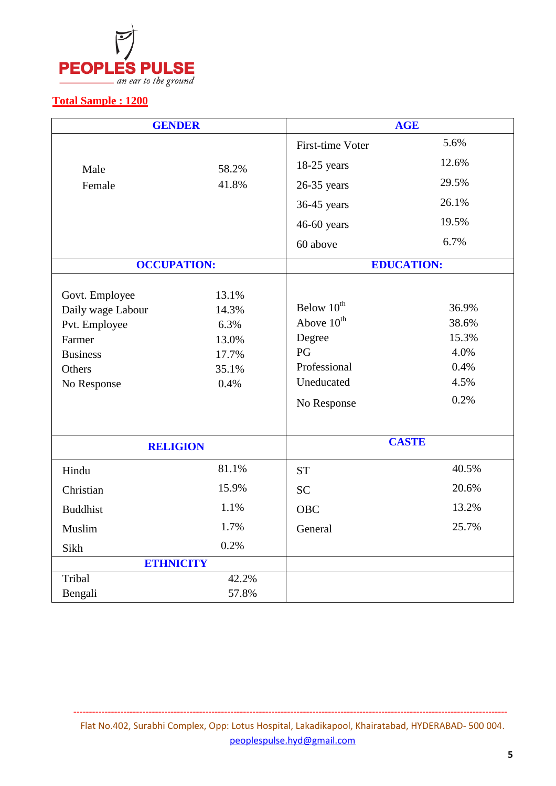

### **Total Sample : 1200**

| <b>GENDER</b>      |       |                         | <b>AGE</b>        |  |  |
|--------------------|-------|-------------------------|-------------------|--|--|
|                    |       | <b>First-time Voter</b> | 5.6%              |  |  |
| Male               | 58.2% | 18-25 years             | 12.6%             |  |  |
| Female             | 41.8% | $26-35$ years           | 29.5%             |  |  |
|                    |       | 36-45 years             | 26.1%             |  |  |
|                    |       | 46-60 years             | 19.5%             |  |  |
|                    |       | 60 above                | 6.7%              |  |  |
| <b>OCCUPATION:</b> |       |                         | <b>EDUCATION:</b> |  |  |
| Govt. Employee     | 13.1% |                         |                   |  |  |
| Daily wage Labour  | 14.3% | Below 10 <sup>th</sup>  | 36.9%             |  |  |
| Pvt. Employee      | 6.3%  | Above 10 <sup>th</sup>  | 38.6%             |  |  |
| Farmer             | 13.0% | Degree                  | 15.3%             |  |  |
| <b>Business</b>    | 17.7% | PG                      | 4.0%              |  |  |
| Others             | 35.1% | Professional            | 0.4%              |  |  |
| No Response        | 0.4%  | Uneducated              | 4.5%              |  |  |
|                    |       | No Response             | 0.2%              |  |  |
|                    |       |                         |                   |  |  |
| <b>RELIGION</b>    |       |                         | <b>CASTE</b>      |  |  |
| Hindu              | 81.1% | <b>ST</b>               | 40.5%             |  |  |
| Christian          | 15.9% | <b>SC</b>               | 20.6%             |  |  |
| <b>Buddhist</b>    | 1.1%  | <b>OBC</b>              | 13.2%             |  |  |
| Muslim             | 1.7%  | General                 | 25.7%             |  |  |
| Sikh               | 0.2%  |                         |                   |  |  |
| <b>ETHNICITY</b>   |       |                         |                   |  |  |
| Tribal             | 42.2% |                         |                   |  |  |
| Bengali            | 57.8% |                         |                   |  |  |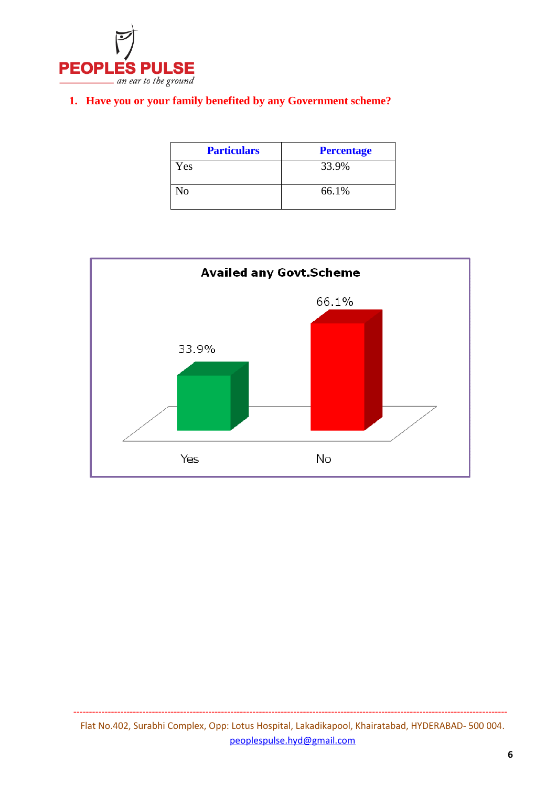

#### **1. Have you or your family benefited by any Government scheme?**

| <b>Particulars</b> | <b>Percentage</b> |
|--------------------|-------------------|
| Yes                | 33.9%             |
| No                 | 66.1%             |

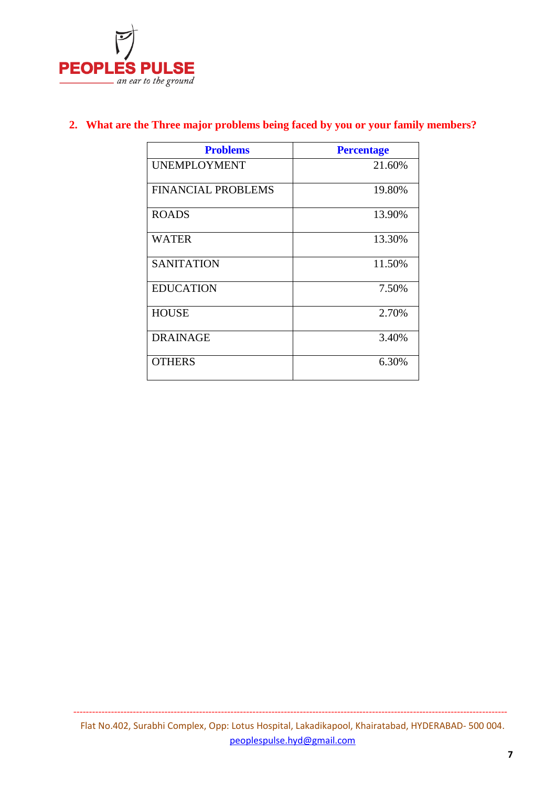

| <b>Problems</b>           | <b>Percentage</b> |
|---------------------------|-------------------|
| <b>UNEMPLOYMENT</b>       | 21.60%            |
| <b>FINANCIAL PROBLEMS</b> | 19.80%            |
| <b>ROADS</b>              | 13.90%            |
| WATER                     | 13.30%            |
| <b>SANITATION</b>         | 11.50%            |
| <b>EDUCATION</b>          | 7.50%             |
| <b>HOUSE</b>              | 2.70%             |
| <b>DRAINAGE</b>           | 3.40%             |
| <b>OTHERS</b>             | 6.30%             |

### **2. What are the Three major problems being faced by you or your family members?**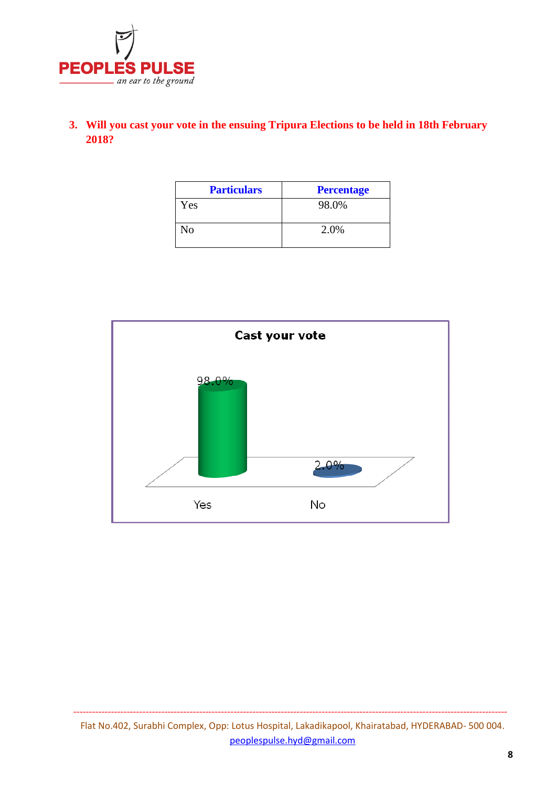

### **3. Will you cast your vote in the ensuing Tripura Elections to be held in 18th February 2018?**

| <b>Particulars</b> | <b>Percentage</b> |
|--------------------|-------------------|
| Yes                | 98.0%             |
| No                 | 2.0%              |

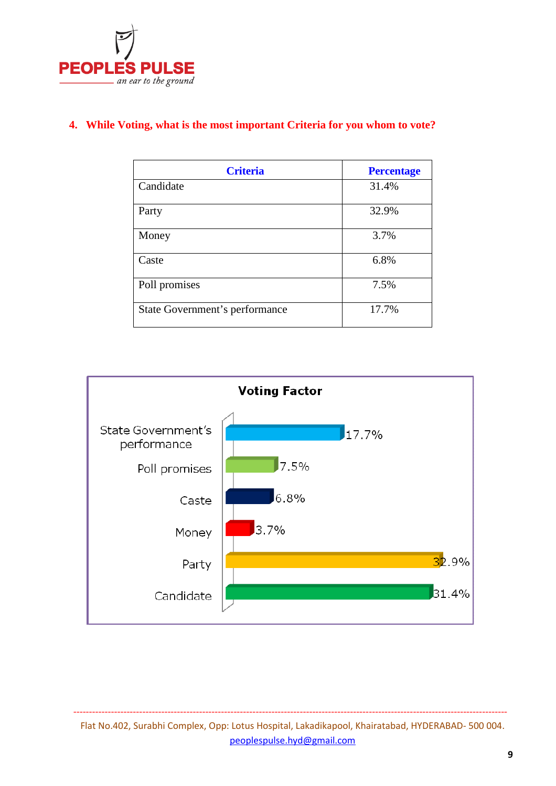

#### **4. While Voting, what is the most important Criteria for you whom to vote?**

| <b>Criteria</b>                | <b>Percentage</b> |
|--------------------------------|-------------------|
| Candidate                      | 31.4%             |
| Party                          | 32.9%             |
| Money                          | 3.7%              |
| Caste                          | 6.8%              |
| Poll promises                  | 7.5%              |
| State Government's performance | 17.7%             |



Flat No.402, Surabhi Complex, Opp: Lotus Hospital, Lakadikapool, Khairatabad, HYDERABAD- 500 004. peoplespulse.hyd@gmail.com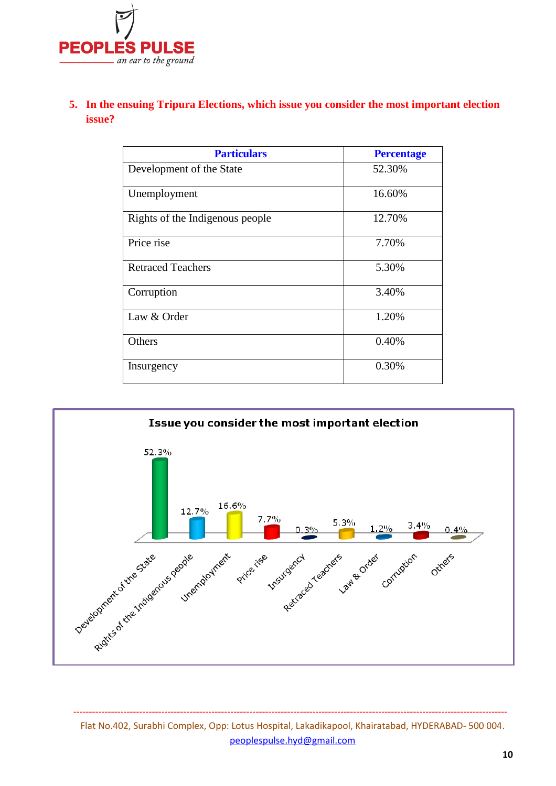

### **5. In the ensuing Tripura Elections, which issue you consider the most important election issue?**

| <b>Particulars</b>              | <b>Percentage</b> |
|---------------------------------|-------------------|
| Development of the State        | 52.30%            |
| Unemployment                    | 16.60%            |
| Rights of the Indigenous people | 12.70%            |
| Price rise                      | 7.70%             |
| <b>Retraced Teachers</b>        | 5.30%             |
| Corruption                      | 3.40%             |
| Law & Order                     | 1.20%             |
| Others                          | 0.40%             |
| Insurgency                      | 0.30%             |



Flat No.402, Surabhi Complex, Opp: Lotus Hospital, Lakadikapool, Khairatabad, HYDERABAD- 500 004. peoplespulse.hyd@gmail.com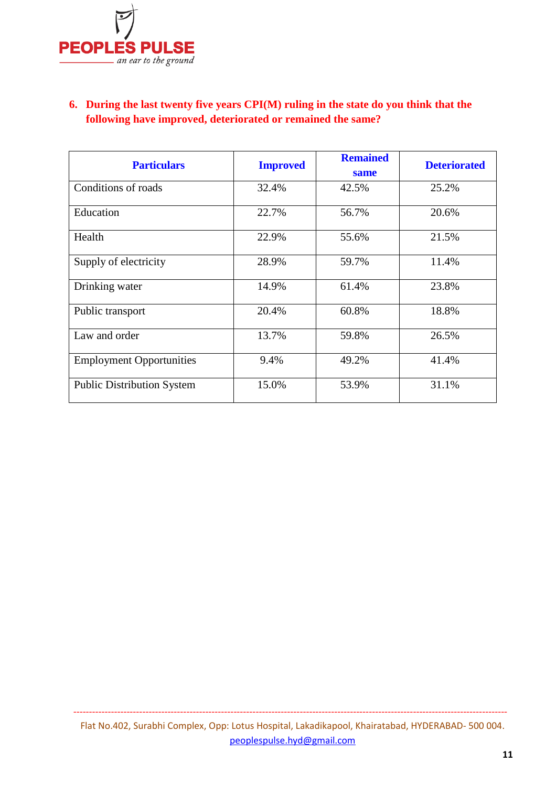

### **6. During the last twenty five years CPI(M) ruling in the state do you think that the following have improved, deteriorated or remained the same?**

| <b>Particulars</b>                | <b>Improved</b> | <b>Remained</b><br>same | <b>Deteriorated</b> |
|-----------------------------------|-----------------|-------------------------|---------------------|
| Conditions of roads               | 32.4%           | 42.5%                   | 25.2%               |
| Education                         | 22.7%           | 56.7%                   | 20.6%               |
| Health                            | 22.9%           | 55.6%                   | 21.5%               |
| Supply of electricity             | 28.9%           | 59.7%                   | 11.4%               |
| Drinking water                    | 14.9%           | 61.4%                   | 23.8%               |
| Public transport                  | 20.4%           | 60.8%                   | 18.8%               |
| Law and order                     | 13.7%           | 59.8%                   | 26.5%               |
| <b>Employment Opportunities</b>   | 9.4%            | 49.2%                   | 41.4%               |
| <b>Public Distribution System</b> | 15.0%           | 53.9%                   | 31.1%               |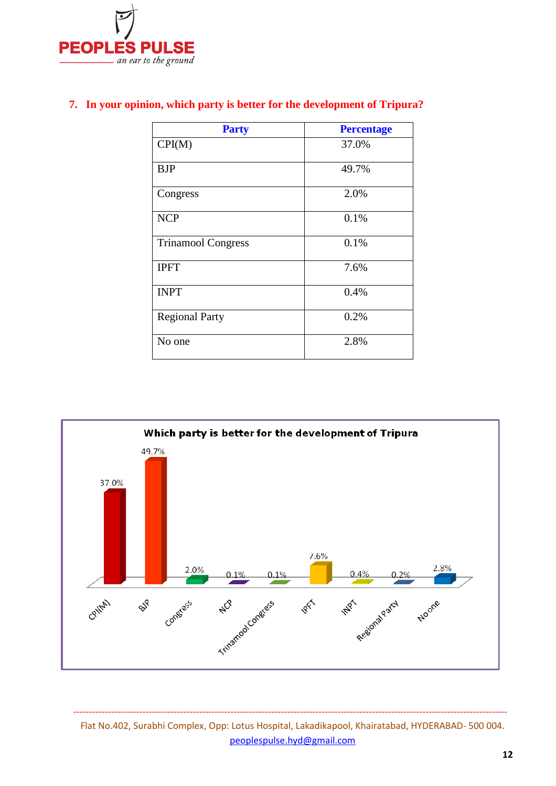

| <b>Party</b>              | <b>Percentage</b> |
|---------------------------|-------------------|
| CPI(M)                    | 37.0%             |
| <b>BJP</b>                | 49.7%             |
| Congress                  | 2.0%              |
| <b>NCP</b>                | 0.1%              |
| <b>Trinamool Congress</b> | 0.1%              |
| <b>IPFT</b>               | 7.6%              |
| <b>INPT</b>               | 0.4%              |
| <b>Regional Party</b>     | 0.2%              |
| No one                    | 2.8%              |

#### **7. In your opinion, which party is better for the development of Tripura?**



Flat No.402, Surabhi Complex, Opp: Lotus Hospital, Lakadikapool, Khairatabad, HYDERABAD- 500 004. peoplespulse.hyd@gmail.com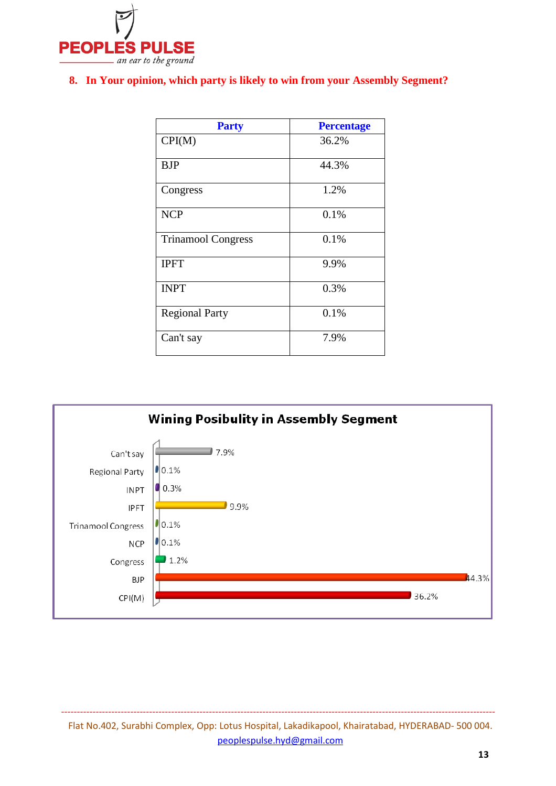

#### **8. In Your opinion, which party is likely to win from your Assembly Segment?**

| <b>Party</b>              | <b>Percentage</b> |
|---------------------------|-------------------|
| CPI(M)                    | 36.2%             |
| <b>BJP</b>                | 44.3%             |
| Congress                  | 1.2%              |
| <b>NCP</b>                | 0.1%              |
| <b>Trinamool Congress</b> | 0.1%              |
| <b>IPFT</b>               | 9.9%              |
| <b>INPT</b>               | 0.3%              |
| <b>Regional Party</b>     | 0.1%              |
| Can't say                 | 7.9%              |



Flat No.402, Surabhi Complex, Opp: Lotus Hospital, Lakadikapool, Khairatabad, HYDERABAD- 500 004. peoplespulse.hyd@gmail.com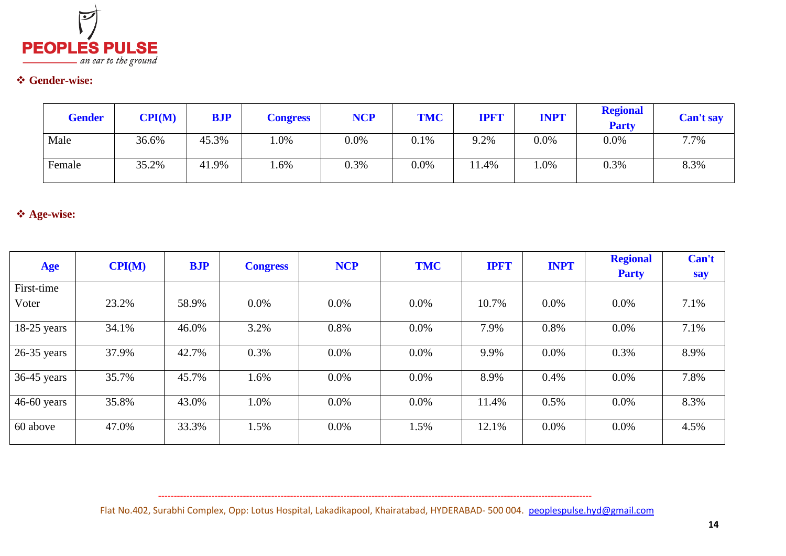

# **Gender-wise:**

| <b>Gender</b> | CPI(M) | <b>BJP</b> | <b>Congress</b> | <b>NCP</b> | <b>TMC</b> | <b>IPF'I</b> | <b>INPT</b> | <b>Regional</b><br><b>Party</b> | Can't say |
|---------------|--------|------------|-----------------|------------|------------|--------------|-------------|---------------------------------|-----------|
| Male          | 36.6%  | 45.3%      | $0\%$           | $0.0\%$    | 0.1%       | 9.2%         | $0.0\%$     | 0.0%                            | 7.7%      |
| Female        | 35.2%  | 41.9%      | $.6\%$          | 0.3%       | $0.0\%$    | 1.4%         | 1.0%        | 0.3%                            | 8.3%      |

# **Age-wise:**

| <b>Age</b>    | CPI(M) | <b>BJP</b> | <b>Congress</b> | <b>NCP</b> | <b>TMC</b> | <b>IPFT</b> | <b>INPT</b> | <b>Regional</b> | Can't |
|---------------|--------|------------|-----------------|------------|------------|-------------|-------------|-----------------|-------|
|               |        |            |                 |            |            |             |             | <b>Party</b>    | say   |
| First-time    |        |            |                 |            |            |             |             |                 |       |
| Voter         | 23.2%  | 58.9%      | $0.0\%$         | $0.0\%$    | 0.0%       | 10.7%       | $0.0\%$     | $0.0\%$         | 7.1%  |
| $18-25$ years | 34.1%  | 46.0%      | 3.2%            | 0.8%       | 0.0%       | 7.9%        | 0.8%        | $0.0\%$         | 7.1%  |
| $26-35$ years | 37.9%  | 42.7%      | 0.3%            | $0.0\%$    | $0.0\%$    | 9.9%        | $0.0\%$     | 0.3%            | 8.9%  |
| $36-45$ years | 35.7%  | 45.7%      | 1.6%            | $0.0\%$    | $0.0\%$    | 8.9%        | 0.4%        | $0.0\%$         | 7.8%  |
| $46-60$ years | 35.8%  | 43.0%      | 1.0%            | $0.0\%$    | $0.0\%$    | 11.4%       | 0.5%        | $0.0\%$         | 8.3%  |
| 60 above      | 47.0%  | 33.3%      | 1.5%            | $0.0\%$    | 1.5%       | 12.1%       | $0.0\%$     | $0.0\%$         | 4.5%  |

Flat No.402, Surabhi Complex, Opp: Lotus Hospital, Lakadikapool, Khairatabad, HYDERABAD- 500 004. peoplespulse.hyd@gmail.com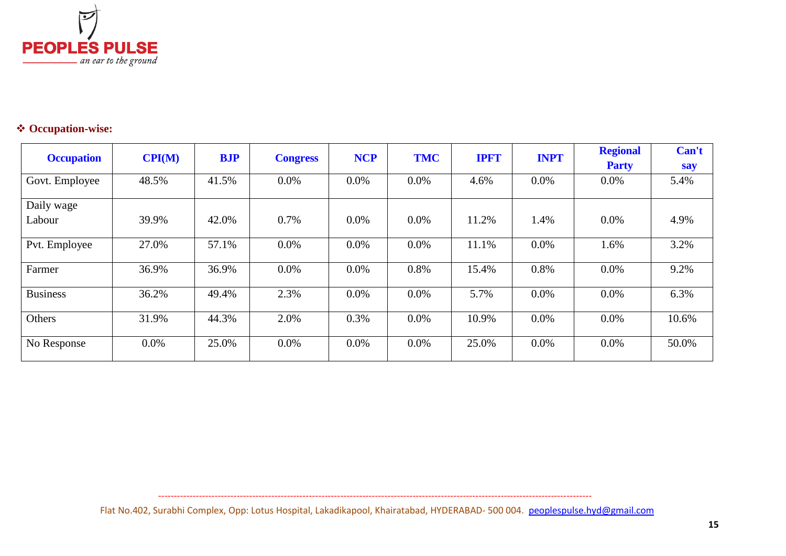

# **Occupation-wise:**

|                   | CPI(M) |       | <b>NCP</b><br><b>TMC</b><br><b>BJP</b><br><b>IPFT</b><br><b>Congress</b> |         |              |       | <b>INPT</b> | <b>Regional</b> | Can't |
|-------------------|--------|-------|--------------------------------------------------------------------------|---------|--------------|-------|-------------|-----------------|-------|
| <b>Occupation</b> |        |       |                                                                          |         | <b>Party</b> | say   |             |                 |       |
| Govt. Employee    | 48.5%  | 41.5% | $0.0\%$                                                                  | 0.0%    | $0.0\%$      | 4.6%  | $0.0\%$     | 0.0%            | 5.4%  |
| Daily wage        |        |       |                                                                          |         |              |       |             |                 |       |
| Labour            | 39.9%  | 42.0% | 0.7%                                                                     | $0.0\%$ | $0.0\%$      | 11.2% | 1.4%        | $0.0\%$         | 4.9%  |
| Pvt. Employee     | 27.0%  | 57.1% | $0.0\%$                                                                  | 0.0%    | $0.0\%$      | 11.1% | $0.0\%$     | 1.6%            | 3.2%  |
| Farmer            | 36.9%  | 36.9% | $0.0\%$                                                                  | 0.0%    | 0.8%         | 15.4% | 0.8%        | 0.0%            | 9.2%  |
| <b>Business</b>   | 36.2%  | 49.4% | 2.3%                                                                     | $0.0\%$ | 0.0%         | 5.7%  | $0.0\%$     | $0.0\%$         | 6.3%  |
| Others            | 31.9%  | 44.3% | 2.0%                                                                     | 0.3%    | 0.0%         | 10.9% | $0.0\%$     | 0.0%            | 10.6% |
| No Response       | 0.0%   | 25.0% | $0.0\%$                                                                  | 0.0%    | $0.0\%$      | 25.0% | $0.0\%$     | $0.0\%$         | 50.0% |

Flat No.402, Surabhi Complex, Opp: Lotus Hospital, Lakadikapool, Khairatabad, HYDERABAD- 500 004. peoplespulse.hyd@gmail.com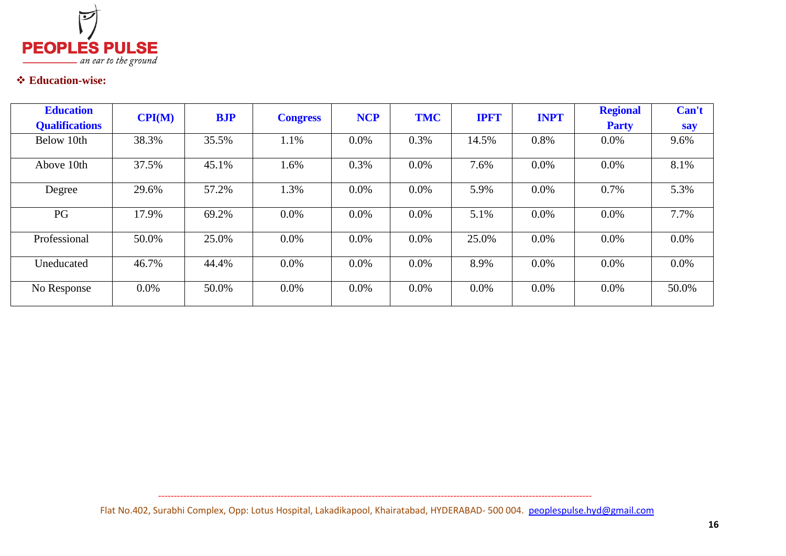

# **Education-wise:**

| <b>Education</b><br><b>Qualifications</b> | CPI(M)  | <b>BJP</b> | <b>Congress</b> | <b>NCP</b> | <b>TMC</b> | <b>IPFT</b> | <b>INPT</b> | <b>Regional</b><br><b>Party</b> | Can't<br>say |
|-------------------------------------------|---------|------------|-----------------|------------|------------|-------------|-------------|---------------------------------|--------------|
| Below 10th                                | 38.3%   | 35.5%      | 1.1%            | $0.0\%$    | 0.3%       | 14.5%       | 0.8%        | $0.0\%$                         | 9.6%         |
| Above 10th                                | 37.5%   | 45.1%      | 1.6%            | 0.3%       | $0.0\%$    | 7.6%        | $0.0\%$     | $0.0\%$                         | 8.1%         |
| Degree                                    | 29.6%   | 57.2%      | 1.3%            | $0.0\%$    | $0.0\%$    | 5.9%        | $0.0\%$     | 0.7%                            | 5.3%         |
| PG                                        | 17.9%   | 69.2%      | $0.0\%$         | $0.0\%$    | 0.0%       | 5.1%        | $0.0\%$     | $0.0\%$                         | 7.7%         |
| Professional                              | 50.0%   | 25.0%      | $0.0\%$         | $0.0\%$    | $0.0\%$    | 25.0%       | $0.0\%$     | $0.0\%$                         | $0.0\%$      |
| Uneducated                                | 46.7%   | 44.4%      | $0.0\%$         | $0.0\%$    | 0.0%       | 8.9%        | $0.0\%$     | $0.0\%$                         | $0.0\%$      |
| No Response                               | $0.0\%$ | 50.0%      | $0.0\%$         | $0.0\%$    | $0.0\%$    | $0.0\%$     | $0.0\%$     | $0.0\%$                         | 50.0%        |

Flat No.402, Surabhi Complex, Opp: Lotus Hospital, Lakadikapool, Khairatabad, HYDERABAD- 500 004. peoplespulse.hyd@gmail.com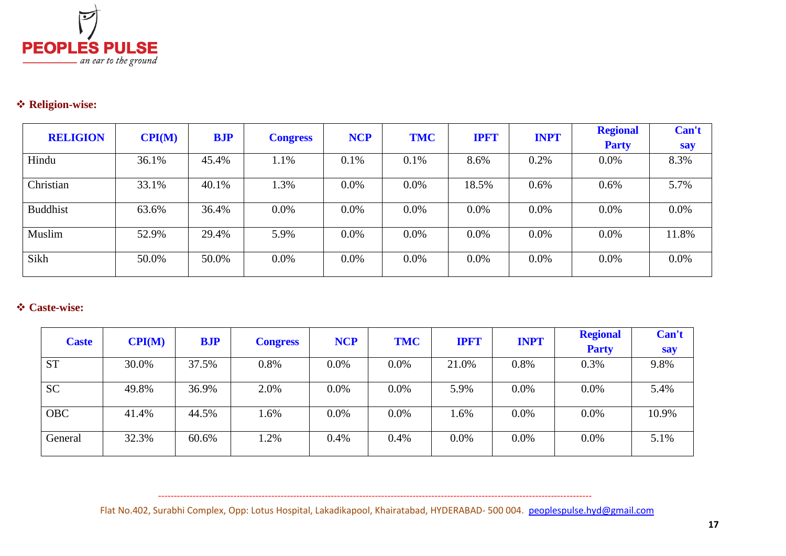

# *<b>☆* Religion-wise:

| <b>RELIGION</b> | $\mathbf{CPI}(\mathbf{M})$ | <b>BJP</b> |                 | <b>NCP</b> | <b>TMC</b> | <b>IPFT</b> | <b>INPT</b> | <b>Regional</b> | Can't   |
|-----------------|----------------------------|------------|-----------------|------------|------------|-------------|-------------|-----------------|---------|
|                 |                            |            | <b>Congress</b> |            |            |             |             | <b>Party</b>    | say     |
| Hindu           | 36.1%                      | 45.4%      | 1.1%            | 0.1%       | 0.1%       | 8.6%        | 0.2%        | $0.0\%$         | 8.3%    |
| Christian       | 33.1%                      | 40.1%      | 1.3%            | 0.0%       | 0.0%       | 18.5%       | 0.6%        | $0.6\%$         | 5.7%    |
| <b>Buddhist</b> | 63.6%                      | 36.4%      | $0.0\%$         | 0.0%       | 0.0%       | $0.0\%$     | $0.0\%$     | $0.0\%$         | $0.0\%$ |
| Muslim          | 52.9%                      | 29.4%      | 5.9%            | 0.0%       | 0.0%       | $0.0\%$     | $0.0\%$     | $0.0\%$         | 11.8%   |
| Sikh            | 50.0%                      | 50.0%      | $0.0\%$         | $0.0\%$    | $0.0\%$    | $0.0\%$     | $0.0\%$     | $0.0\%$         | $0.0\%$ |

# **Caste-wise:**

| <b>Caste</b> | CPI(M) | <b>BJP</b> | <b>Congress</b> | <b>NCP</b> | <b>TMC</b> | <b>IPFT</b> | <b>INPT</b> | <b>Regional</b> | Can't |
|--------------|--------|------------|-----------------|------------|------------|-------------|-------------|-----------------|-------|
|              |        |            |                 |            |            |             |             | <b>Party</b>    | say   |
| <b>ST</b>    | 30.0%  | 37.5%      | 0.8%            | 0.0%       | 0.0%       | 21.0%       | 0.8%        | 0.3%            | 9.8%  |
| <b>SC</b>    | 49.8%  | 36.9%      | 2.0%            | 0.0%       | 0.0%       | 5.9%        | 0.0%        | 0.0%            | 5.4%  |
| <b>OBC</b>   | 41.4%  | 44.5%      | 1.6%            | $0.0\%$    | 0.0%       | $1.6\%$     | $0.0\%$     | 0.0%            | 10.9% |
| General      | 32.3%  | 60.6%      | 1.2%            | 0.4%       | 0.4%       | $0.0\%$     | $0.0\%$     | 0.0%            | 5.1%  |

Flat No.402, Surabhi Complex, Opp: Lotus Hospital, Lakadikapool, Khairatabad, HYDERABAD- 500 004. peoplespulse.hyd@gmail.com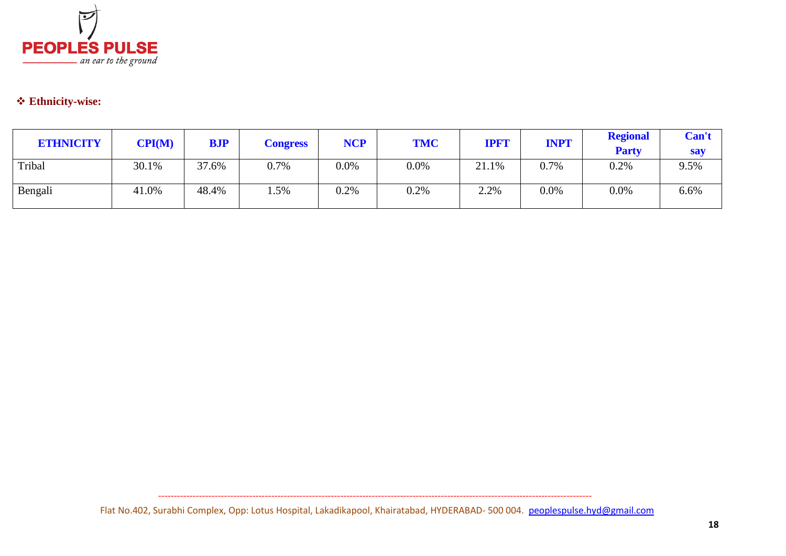

# **Ethnicity-wise:**

| <b>ETHNICITY</b> | $\mathbf{CPI}(\mathbf{M})$ | <b>BJP</b> | <b>Congress</b> | <b>NCP</b> | <b>TMC</b> | <b>IPFT</b> | <b>INPT</b> | <b>Regional</b><br><b>Party</b> | Can't<br><b>say</b> |
|------------------|----------------------------|------------|-----------------|------------|------------|-------------|-------------|---------------------------------|---------------------|
| Tribal           | 30.1%                      | 37.6%      | 0.7%            | $0.0\%$    | 0.0%       | 21.1%       | 0.7%        | 0.2%                            | 9.5%                |
| Bengali          | 41.0%                      | 48.4%      | .5%             | 0.2%       | 0.2%       | 2.2%        | $0.0\%$     | 0.0%                            | 6.6%                |

Flat No.402, Surabhi Complex, Opp: Lotus Hospital, Lakadikapool, Khairatabad, HYDERABAD- 500 004. peoplespulse.hyd@gmail.com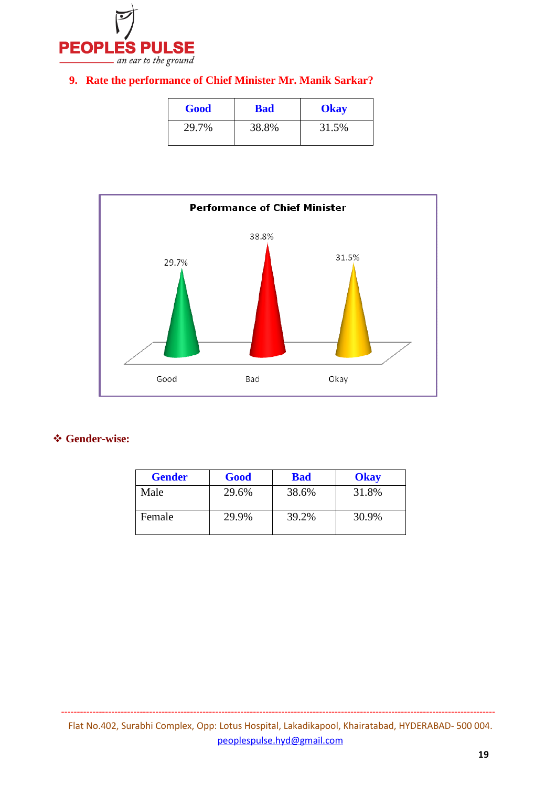

### **9. Rate the performance of Chief Minister Mr. Manik Sarkar?**

| Good  | <b>Bad</b> | <b>Okay</b> |
|-------|------------|-------------|
| 29.7% | 38.8%      | 31.5%       |



#### **Gender-wise:**

| <b>Gender</b> | Good  | <b>Bad</b> | <b>Okay</b> |
|---------------|-------|------------|-------------|
| Male          | 29.6% | 38.6%      | 31.8%       |
| Female        | 29.9% | 39.2%      | 30.9%       |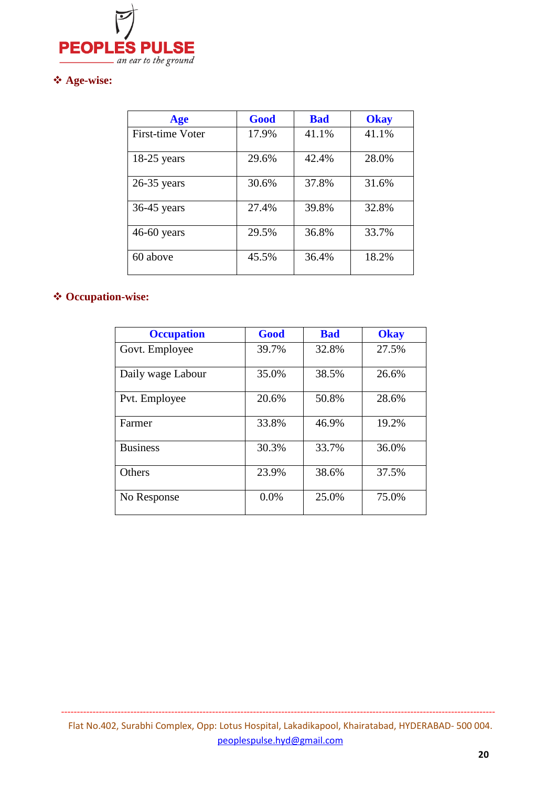

### **Age-wise:**

| Age                     | Good  | <b>Bad</b> | <b>Okay</b> |
|-------------------------|-------|------------|-------------|
| <b>First-time Voter</b> | 17.9% | 41.1%      | 41.1%       |
| $18-25$ years           | 29.6% | 42.4%      | 28.0%       |
| $26-35$ years           | 30.6% | 37.8%      | 31.6%       |
| $36-45$ years           | 27.4% | 39.8%      | 32.8%       |
| $46-60$ years           | 29.5% | 36.8%      | 33.7%       |
| 60 above                | 45.5% | 36.4%      | 18.2%       |

# **Occupation-wise:**

| <b>Occupation</b> | Good  | <b>Bad</b> | <b>Okay</b> |
|-------------------|-------|------------|-------------|
| Govt. Employee    | 39.7% | 32.8%      | 27.5%       |
| Daily wage Labour | 35.0% | 38.5%      | 26.6%       |
| Pvt. Employee     | 20.6% | 50.8%      | 28.6%       |
| Farmer            | 33.8% | 46.9%      | 19.2%       |
| <b>Business</b>   | 30.3% | 33.7%      | 36.0%       |
| Others            | 23.9% | 38.6%      | 37.5%       |
| No Response       | 0.0%  | 25.0%      | 75.0%       |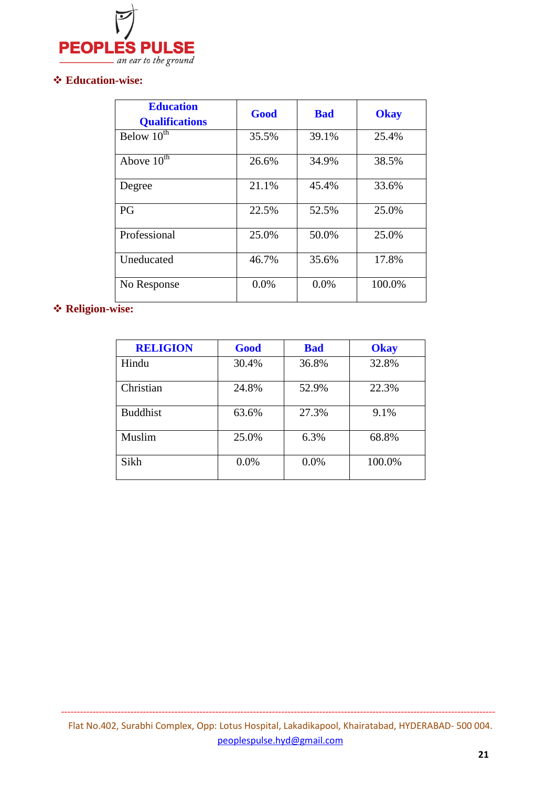

#### **Education-wise:**

| <b>Education</b><br><b>Qualifications</b> | Good  | <b>Bad</b> | <b>Okay</b> |
|-------------------------------------------|-------|------------|-------------|
| Below $10^{th}$                           | 35.5% | 39.1%      | 25.4%       |
| Above $10^{\text{th}}$                    | 26.6% | 34.9%      | 38.5%       |
| Degree                                    | 21.1% | 45.4%      | 33.6%       |
| PG                                        | 22.5% | 52.5%      | 25.0%       |
| Professional                              | 25.0% | 50.0%      | 25.0%       |
| Uneducated                                | 46.7% | 35.6%      | 17.8%       |
| No Response                               | 0.0%  | 0.0%       | 100.0%      |

# **Religion-wise:**

| <b>RELIGION</b> | Good  | <b>Bad</b> | <b>Okay</b> |
|-----------------|-------|------------|-------------|
| Hindu           | 30.4% | 36.8%      | 32.8%       |
| Christian       | 24.8% | 52.9%      | 22.3%       |
| <b>Buddhist</b> | 63.6% | 27.3%      | 9.1%        |
| Muslim          | 25.0% | 6.3%       | 68.8%       |
| Sikh            | 0.0%  | 0.0%       | 100.0%      |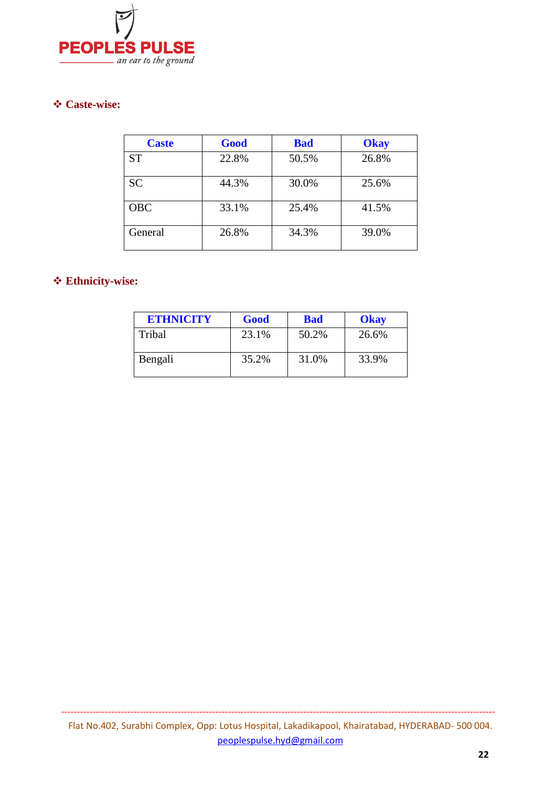

#### **Caste-wise:**

| <b>Caste</b> | Good  | <b>Bad</b> | <b>Okay</b> |
|--------------|-------|------------|-------------|
| <b>ST</b>    | 22.8% | 50.5%      | 26.8%       |
| <b>SC</b>    | 44.3% | 30.0%      | 25.6%       |
| <b>OBC</b>   | 33.1% | 25.4%      | 41.5%       |
| General      | 26.8% | 34.3%      | 39.0%       |

#### **Ethnicity-wise:**

| <b>ETHNICITY</b> | Good  | <b>Bad</b> | Okay  |
|------------------|-------|------------|-------|
| Tribal           | 23.1% | 50.2%      | 26.6% |
| Bengali          | 35.2% | 31.0%      | 33.9% |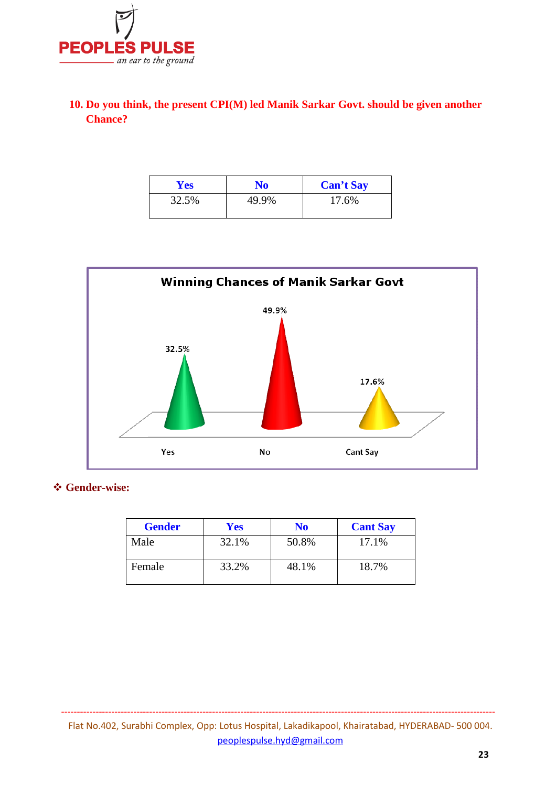

### **10. Do you think, the present CPI(M) led Manik Sarkar Govt. should be given another Chance?**

| <b>Yes</b> | No    | <b>Can't Say</b> |
|------------|-------|------------------|
| 32.5%      | 49.9% | 17.6%            |



#### **Gender-wise:**

| <b>Gender</b> | <b>Yes</b> | No    | <b>Cant Say</b> |
|---------------|------------|-------|-----------------|
| Male          | 32.1%      | 50.8% | 17.1%           |
| Female        | 33.2%      | 48.1% | 18.7%           |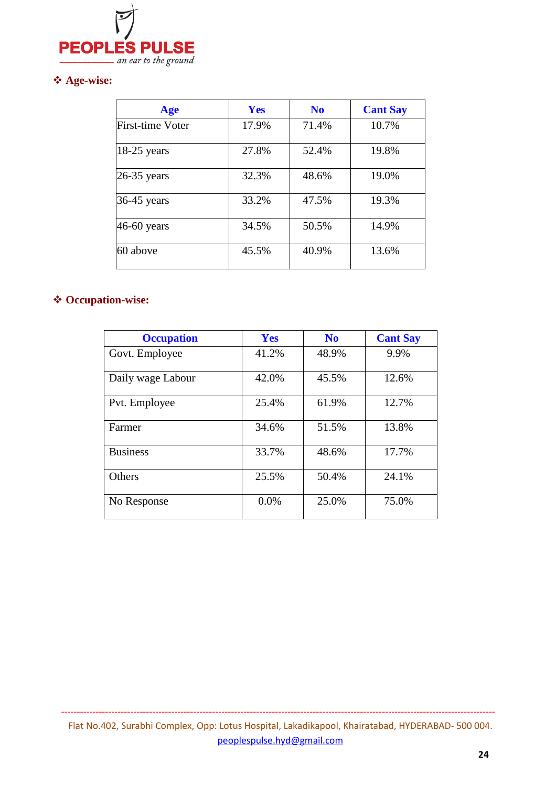

### **Age-wise:**

| Age              | Yes   | N <sub>0</sub> | <b>Cant Say</b> |  |
|------------------|-------|----------------|-----------------|--|
| First-time Voter | 17.9% | 71.4%          | 10.7%           |  |
| $18-25$ years    | 27.8% | 52.4%          | 19.8%           |  |
| $26-35$ years    | 32.3% | 48.6%          | 19.0%           |  |
| 36-45 years      | 33.2% | 47.5%          | 19.3%           |  |
| 46-60 years      | 34.5% | 50.5%          | 14.9%           |  |
| 60 above         | 45.5% | 40.9%          | 13.6%           |  |

# **Occupation-wise:**

| <b>Occupation</b> | <b>Yes</b> | N <sub>0</sub> | <b>Cant Say</b> |
|-------------------|------------|----------------|-----------------|
| Govt. Employee    | 41.2%      | 48.9%          | 9.9%            |
| Daily wage Labour | 42.0%      | 45.5%          | 12.6%           |
| Pvt. Employee     | 25.4%      | 61.9%          | 12.7%           |
| Farmer            | 34.6%      | 51.5%          | 13.8%           |
| <b>Business</b>   | 33.7%      | 48.6%          | 17.7%           |
| Others            | 25.5%      | 50.4%          | 24.1%           |
| No Response       | 0.0%       | 25.0%          | 75.0%           |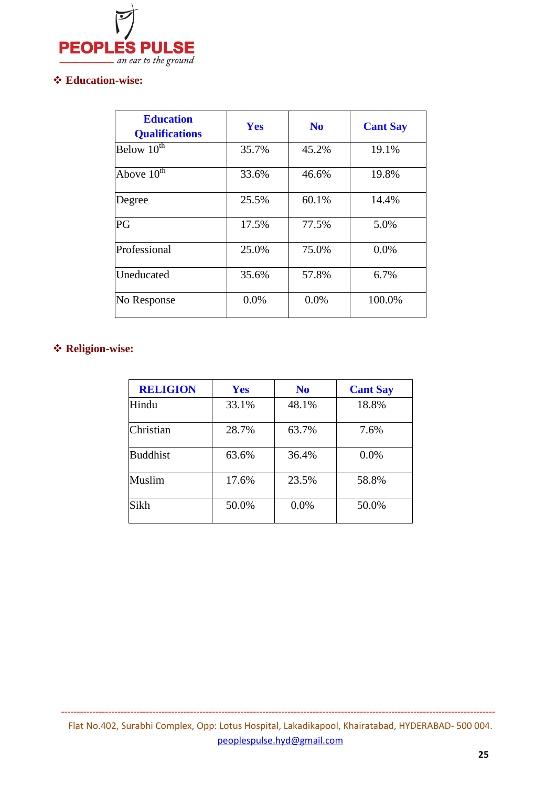

#### **Education-wise:**

| <b>Education</b><br><b>Qualifications</b> | Yes   | N <sub>0</sub> | <b>Cant Say</b> |
|-------------------------------------------|-------|----------------|-----------------|
| Below $10^{th}$                           | 35.7% | 45.2%          | 19.1%           |
| Above $10^{\text{th}}$                    | 33.6% | 46.6%          | 19.8%           |
| Degree                                    | 25.5% | 60.1%          | 14.4%           |
| PG                                        | 17.5% | 77.5%          | 5.0%            |
| Professional                              | 25.0% | 75.0%          | 0.0%            |
| Uneducated                                | 35.6% | 57.8%          | 6.7%            |
| No Response                               | 0.0%  | 0.0%           | 100.0%          |

# **Religion-wise:**

| <b>RELIGION</b> | <b>Yes</b> | N <sub>0</sub> | <b>Cant Say</b> |
|-----------------|------------|----------------|-----------------|
| Hindu           | 33.1%      | 48.1%          | 18.8%           |
| Christian       | 28.7%      | 63.7%          | 7.6%            |
| <b>Buddhist</b> | 63.6%      | 36.4%          | 0.0%            |
| Muslim          | 17.6%      | 23.5%          | 58.8%           |
| Sikh            | 50.0%      | 0.0%           | 50.0%           |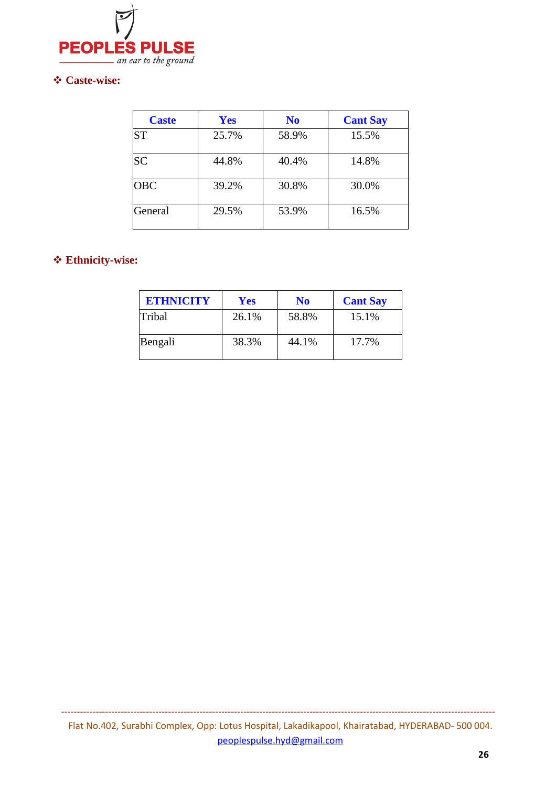

#### **Caste-wise:**

| <b>Caste</b> | <b>Yes</b> | N <sub>0</sub> | <b>Cant Say</b> |
|--------------|------------|----------------|-----------------|
| <b>ST</b>    | 25.7%      | 58.9%          | 15.5%           |
| <b>SC</b>    | 44.8%      | 40.4%          | 14.8%           |
| <b>OBC</b>   | 39.2%      | 30.8%          | 30.0%           |
| General      | 29.5%      | 53.9%          | 16.5%           |

#### **Ethnicity-wise:**

| <b>ETHNICITY</b> | <b>Yes</b> | No    | <b>Cant Say</b> |
|------------------|------------|-------|-----------------|
| Tribal           | 26.1%      | 58.8% | 15.1%           |
| Bengali          | 38.3%      | 44.1% | 17.7%           |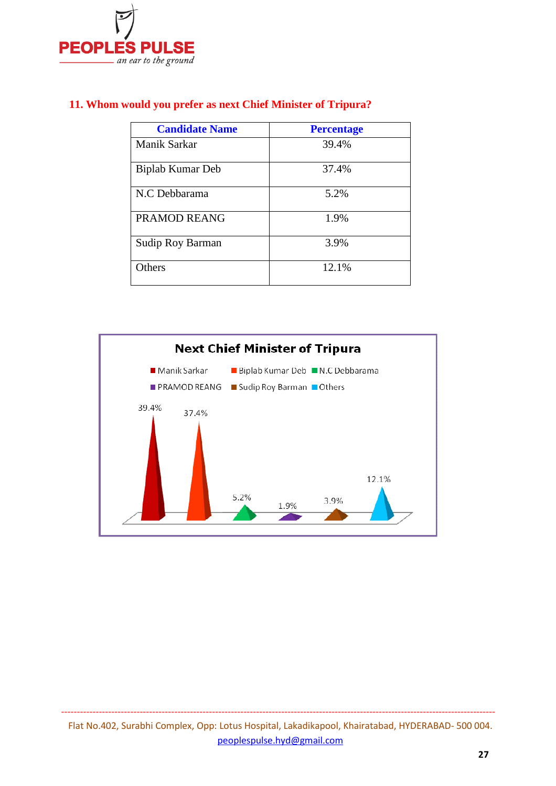

|  |  |  |  |  |  |  |  | 11. Whom would you prefer as next Chief Minister of Tripura? |
|--|--|--|--|--|--|--|--|--------------------------------------------------------------|
|--|--|--|--|--|--|--|--|--------------------------------------------------------------|

| <b>Candidate Name</b> | <b>Percentage</b> |
|-----------------------|-------------------|
| <b>Manik Sarkar</b>   | 39.4%             |
| Biplab Kumar Deb      | 37.4%             |
| N.C Debbarama         | 5.2%              |
| PRAMOD REANG          | 1.9%              |
| Sudip Roy Barman      | 3.9%              |
| Others                | 12.1%             |

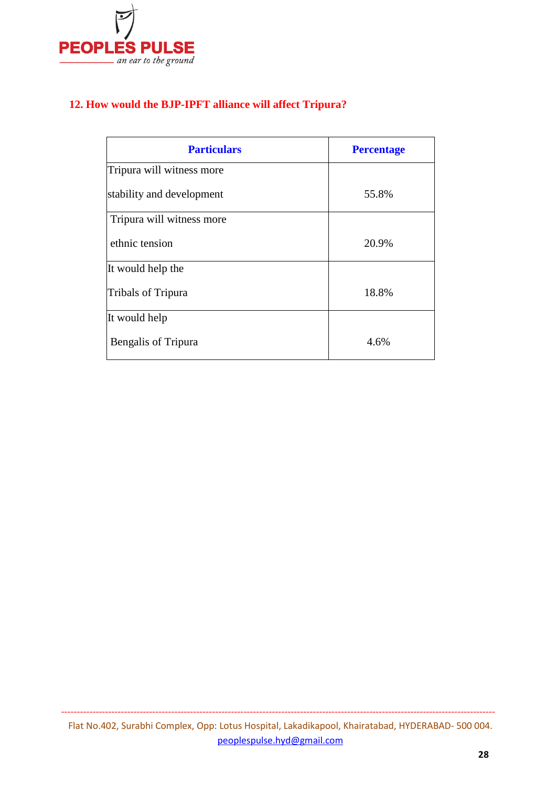

### **12. How would the BJP-IPFT alliance will affect Tripura?**

| <b>Particulars</b>        | <b>Percentage</b> |
|---------------------------|-------------------|
| Tripura will witness more |                   |
| stability and development | 55.8%             |
| Tripura will witness more |                   |
| ethnic tension            | 20.9%             |
| It would help the         |                   |
| <b>Tribals of Tripura</b> | 18.8%             |
| It would help             |                   |
| Bengalis of Tripura       | 4.6%              |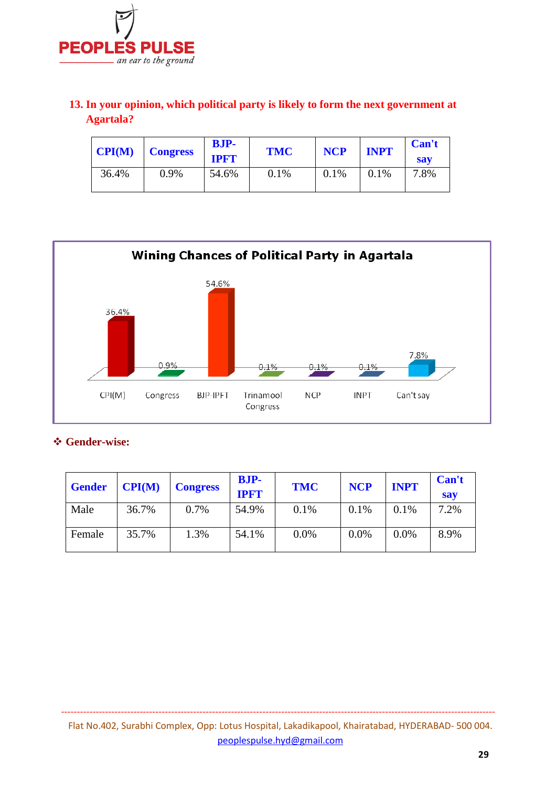

### **13. In your opinion, which political party is likely to form the next government at Agartala?**

| CPI(M) | <b>Congress</b> | <b>BJP-</b><br><b>IPFT</b> | <b>TMC</b> | <b>NCP</b> | <b>INPT</b> | Can't<br><b>sav</b> |
|--------|-----------------|----------------------------|------------|------------|-------------|---------------------|
| 36.4%  | 0.9%            | 54.6%                      | 0.1%       | 0.1%       | 0.1%        | 7.8%                |



#### **Gender-wise:**

| <b>Gender</b> | CPI(M) | <b>Congress</b> | <b>BJP-</b><br><b>IPFT</b> | <b>TMC</b> | <b>NCP</b> | <b>INPT</b> | Can't<br><b>say</b> |
|---------------|--------|-----------------|----------------------------|------------|------------|-------------|---------------------|
| Male          | 36.7%  | 0.7%            | 54.9%                      | 0.1%       | 0.1%       | 0.1%        | 7.2%                |
| Female        | 35.7%  | 1.3%            | 54.1%                      | 0.0%       | 0.0%       | 0.0%        | 8.9%                |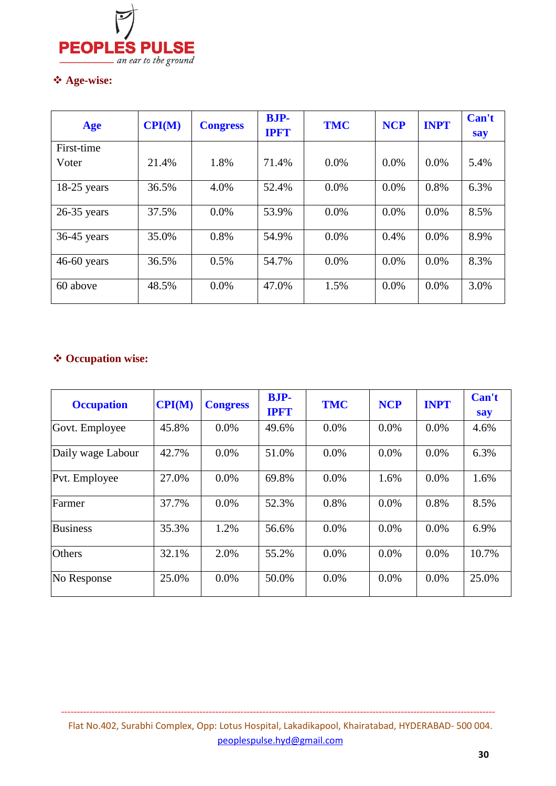

### **Age-wise:**

| Age           | CPI(M) | <b>Congress</b> | <b>BJP-</b><br><b>IPFT</b> | <b>TMC</b> | <b>NCP</b> | <b>INPT</b> | Can't<br>say |
|---------------|--------|-----------------|----------------------------|------------|------------|-------------|--------------|
| First-time    |        |                 |                            |            |            |             |              |
| Voter         | 21.4%  | 1.8%            | 71.4%                      | $0.0\%$    | $0.0\%$    | $0.0\%$     | 5.4%         |
| $18-25$ years | 36.5%  | 4.0%            | 52.4%                      | $0.0\%$    | 0.0%       | 0.8%        | 6.3%         |
| $26-35$ years | 37.5%  | $0.0\%$         | 53.9%                      | 0.0%       | $0.0\%$    | 0.0%        | 8.5%         |
| $36-45$ years | 35.0%  | 0.8%            | 54.9%                      | $0.0\%$    | 0.4%       | $0.0\%$     | 8.9%         |
| $46-60$ years | 36.5%  | 0.5%            | 54.7%                      | 0.0%       | $0.0\%$    | $0.0\%$     | 8.3%         |
| 60 above      | 48.5%  | 0.0%            | 47.0%                      | 1.5%       | 0.0%       | 0.0%        | 3.0%         |

# **Occupation wise:**

| <b>Occupation</b> | CPI(M) | <b>Congress</b> | <b>BJP-</b><br><b>IPFT</b> | <b>TMC</b> | <b>NCP</b> | <b>INPT</b> | Can't<br>say |
|-------------------|--------|-----------------|----------------------------|------------|------------|-------------|--------------|
| Govt. Employee    | 45.8%  | $0.0\%$         | 49.6%                      | $0.0\%$    | $0.0\%$    | $0.0\%$     | 4.6%         |
| Daily wage Labour | 42.7%  | $0.0\%$         | 51.0%                      | $0.0\%$    | $0.0\%$    | $0.0\%$     | 6.3%         |
| Pvt. Employee     | 27.0%  | $0.0\%$         | 69.8%                      | 0.0%       | 1.6%       | $0.0\%$     | 1.6%         |
| Farmer            | 37.7%  | $0.0\%$         | 52.3%                      | 0.8%       | $0.0\%$    | 0.8%        | 8.5%         |
| <b>Business</b>   | 35.3%  | 1.2%            | 56.6%                      | 0.0%       | $0.0\%$    | $0.0\%$     | 6.9%         |
| <b>Others</b>     | 32.1%  | 2.0%            | 55.2%                      | $0.0\%$    | $0.0\%$    | $0.0\%$     | 10.7%        |
| No Response       | 25.0%  | $0.0\%$         | 50.0%                      | $0.0\%$    | $0.0\%$    | $0.0\%$     | 25.0%        |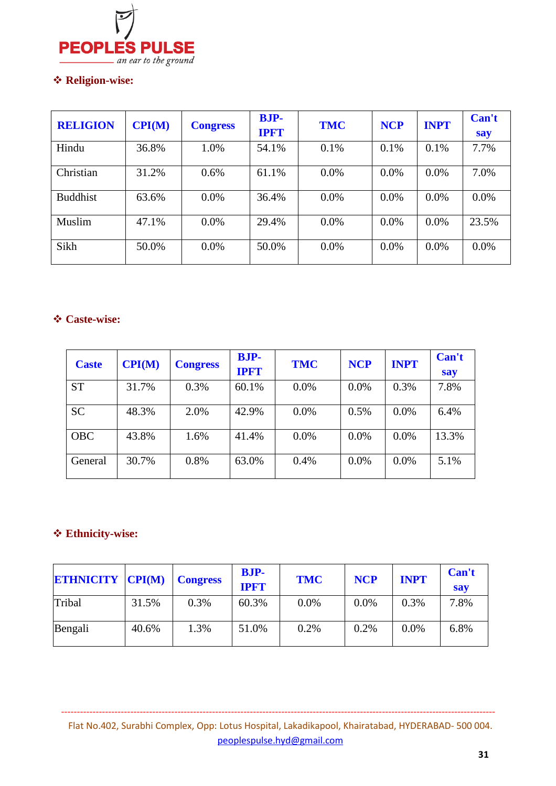

### **Religion-wise:**

| <b>RELIGION</b> | CPI(M) | <b>Congress</b> | <b>BJP-</b><br><b>IPFT</b> | <b>TMC</b> | <b>NCP</b> | <b>INPT</b> | Can't<br>say |
|-----------------|--------|-----------------|----------------------------|------------|------------|-------------|--------------|
| Hindu           | 36.8%  | 1.0%            | 54.1%                      | 0.1%       | 0.1%       | 0.1%        | 7.7%         |
| Christian       | 31.2%  | 0.6%            | 61.1%                      | 0.0%       | $0.0\%$    | $0.0\%$     | 7.0%         |
| <b>Buddhist</b> | 63.6%  | 0.0%            | 36.4%                      | $0.0\%$    | 0.0%       | 0.0%        | 0.0%         |
| Muslim          | 47.1%  | 0.0%            | 29.4%                      | $0.0\%$    | $0.0\%$    | $0.0\%$     | 23.5%        |
| Sikh            | 50.0%  | 0.0%            | 50.0%                      | $0.0\%$    | $0.0\%$    | $0.0\%$     | 0.0%         |

#### **Caste-wise:**

| <b>Caste</b> | CPI(M) | <b>Congress</b> | <b>BJP-</b><br><b>IPFT</b> | <b>TMC</b> | <b>NCP</b> | <b>INPT</b> | Can't<br>say |
|--------------|--------|-----------------|----------------------------|------------|------------|-------------|--------------|
| <b>ST</b>    | 31.7%  | 0.3%            | 60.1%                      | 0.0%       | 0.0%       | 0.3%        | 7.8%         |
| <b>SC</b>    | 48.3%  | 2.0%            | 42.9%                      | 0.0%       | 0.5%       | 0.0%        | 6.4%         |
| <b>OBC</b>   | 43.8%  | 1.6%            | 41.4%                      | 0.0%       | 0.0%       | 0.0%        | 13.3%        |
| General      | 30.7%  | 0.8%            | 63.0%                      | 0.4%       | 0.0%       | 0.0%        | 5.1%         |

### **Ethnicity-wise:**

| <b>ETHNICITY CPI(M)</b> |       | <b>Congress</b> | <b>BJP-</b><br><b>IPFT</b> | <b>TMC</b> | <b>NCP</b> | <b>INPT</b> | Can't<br><b>say</b> |
|-------------------------|-------|-----------------|----------------------------|------------|------------|-------------|---------------------|
| Tribal                  | 31.5% | 0.3%            | 60.3%                      | $0.0\%$    | 0.0%       | 0.3%        | 7.8%                |
| Bengali                 | 40.6% | 1.3%            | 51.0%                      | 0.2%       | 0.2%       | 0.0%        | 6.8%                |

Flat No.402, Surabhi Complex, Opp: Lotus Hospital, Lakadikapool, Khairatabad, HYDERABAD- 500 004. peoplespulse.hyd@gmail.com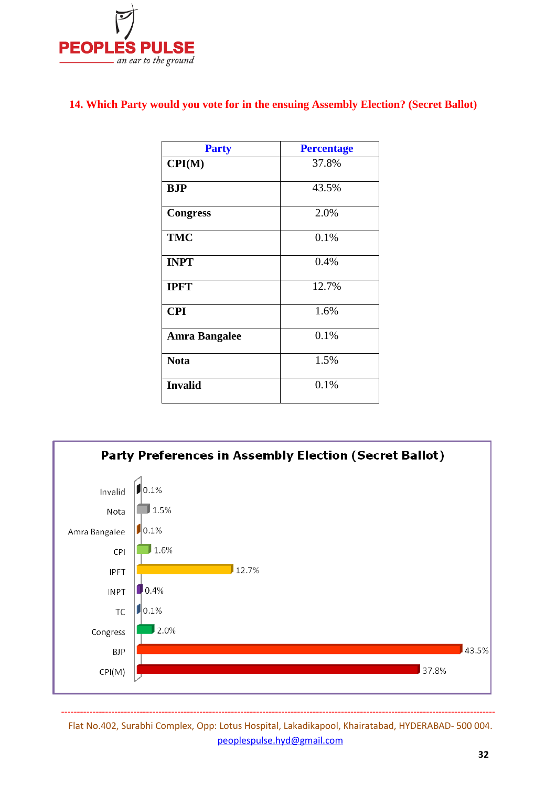

#### **14. Which Party would you vote for in the ensuing Assembly Election? (Secret Ballot)**

| <b>Party</b>         | <b>Percentage</b> |
|----------------------|-------------------|
| CPI(M)               | 37.8%             |
| BJP                  | 43.5%             |
| <b>Congress</b>      | 2.0%              |
| <b>TMC</b>           | 0.1%              |
| <b>INPT</b>          | 0.4%              |
| <b>IPFT</b>          | 12.7%             |
| <b>CPI</b>           | 1.6%              |
| <b>Amra Bangalee</b> | 0.1%              |
| <b>Nota</b>          | 1.5%              |
| <b>Invalid</b>       | 0.1%              |



Flat No.402, Surabhi Complex, Opp: Lotus Hospital, Lakadikapool, Khairatabad, HYDERABAD- 500 004. peoplespulse.hyd@gmail.com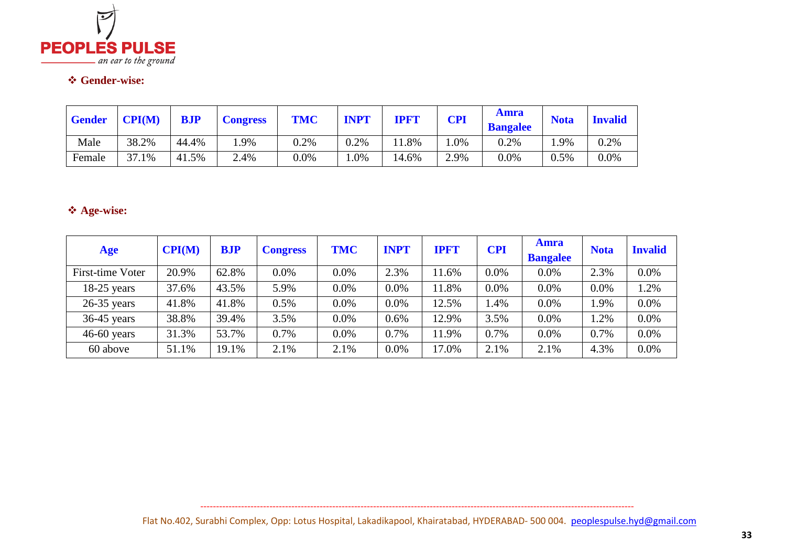

# **Gender-wise:**

| <b>Gender</b> | CPI(M) | <b>BJP</b> | <b>Congress</b> | <b>TMC</b> | <b>INPT</b> | <b>IPF'I</b> | <b>CPI</b> | <b>Amra</b><br><b>Bangalee</b> | <b>Nota</b> | <b>Invalid</b> |
|---------------|--------|------------|-----------------|------------|-------------|--------------|------------|--------------------------------|-------------|----------------|
| Male          | 38.2%  | 44.4%      | .9%             | 0.2%       | 0.2%        | 1.8%         | $.0\%$     | 0.2%                           | 1.9%        | 0.2%           |
| Female        | 37.1%  | 41.5%      | 2.4%            | 0.0%       | .0%         | 14.6%        | 2.9%       | 0.0%                           | 0.5%        | $0.0\%$        |

# **Age-wise:**

| Age              | CPI(M) | <b>BJP</b> | <b>Congress</b> | <b>TMC</b> | <b>INPT</b> | <b>IPFT</b> | <b>CPI</b> | <b>Amra</b><br><b>Bangalee</b> | <b>Nota</b> | <b>Invalid</b> |
|------------------|--------|------------|-----------------|------------|-------------|-------------|------------|--------------------------------|-------------|----------------|
| First-time Voter | 20.9%  | 62.8%      | 0.0%            | 0.0%       | 2.3%        | 11.6%       | $0.0\%$    | 0.0%                           | 2.3%        | 0.0%           |
| $18-25$ years    | 37.6%  | 43.5%      | 5.9%            | 0.0%       | 0.0%        | 11.8%       | $0.0\%$    | 0.0%                           | 0.0%        | 1.2%           |
| $26-35$ years    | 41.8%  | 41.8%      | 0.5%            | 0.0%       | 0.0%        | 12.5%       | .4%        | 0.0%                           | .9%         | 0.0%           |
| $36-45$ years    | 38.8%  | 39.4%      | 3.5%            | 0.0%       | 0.6%        | 12.9%       | 3.5%       | 0.0%                           | 1.2%        | $0.0\%$        |
| $46-60$ years    | 31.3%  | 53.7%      | 0.7%            | 0.0%       | 0.7%        | 11.9%       | 0.7%       | 0.0%                           | 0.7%        | 0.0%           |
| 60 above         | 51.1%  | 19.1%      | 2.1%            | 2.1%       | 0.0%        | 17.0%       | 2.1%       | 2.1%                           | 4.3%        | 0.0%           |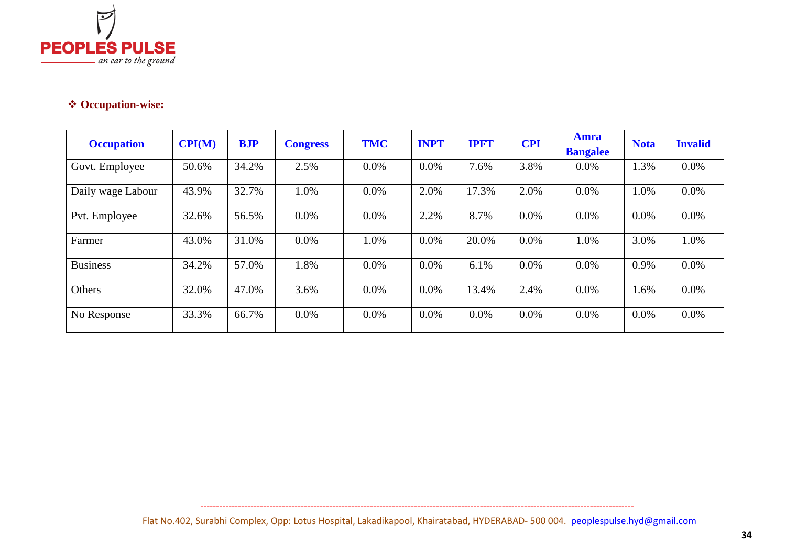

# **Occupation-wise:**

| <b>Occupation</b> | $\mathbf{CPI}(\mathbf{M})$ | <b>BJP</b> | <b>Congress</b> | <b>TMC</b> | <b>INPT</b> | <b>IPFT</b> | <b>CPI</b> | <b>Amra</b><br><b>Bangalee</b> | <b>Nota</b> | <b>Invalid</b> |
|-------------------|----------------------------|------------|-----------------|------------|-------------|-------------|------------|--------------------------------|-------------|----------------|
| Govt. Employee    | 50.6%                      | 34.2%      | 2.5%            | $0.0\%$    | 0.0%        | 7.6%        | 3.8%       | $0.0\%$                        | 1.3%        | $0.0\%$        |
| Daily wage Labour | 43.9%                      | 32.7%      | 1.0%            | $0.0\%$    | 2.0%        | 17.3%       | 2.0%       | $0.0\%$                        | 1.0%        | $0.0\%$        |
| Pvt. Employee     | 32.6%                      | 56.5%      | 0.0%            | 0.0%       | 2.2%        | 8.7%        | 0.0%       | $0.0\%$                        | 0.0%        | $0.0\%$        |
| Farmer            | 43.0%                      | 31.0%      | $0.0\%$         | 1.0%       | $0.0\%$     | 20.0%       | 0.0%       | 1.0%                           | 3.0%        | 1.0%           |
| <b>Business</b>   | 34.2%                      | 57.0%      | 1.8%            | $0.0\%$    | $0.0\%$     | 6.1%        | 0.0%       | $0.0\%$                        | 0.9%        | $0.0\%$        |
| Others            | 32.0%                      | 47.0%      | 3.6%            | $0.0\%$    | $0.0\%$     | 13.4%       | 2.4%       | $0.0\%$                        | 1.6%        | $0.0\%$        |
| No Response       | 33.3%                      | 66.7%      | $0.0\%$         | $0.0\%$    | $0.0\%$     | 0.0%        | 0.0%       | $0.0\%$                        | 0.0%        | $0.0\%$        |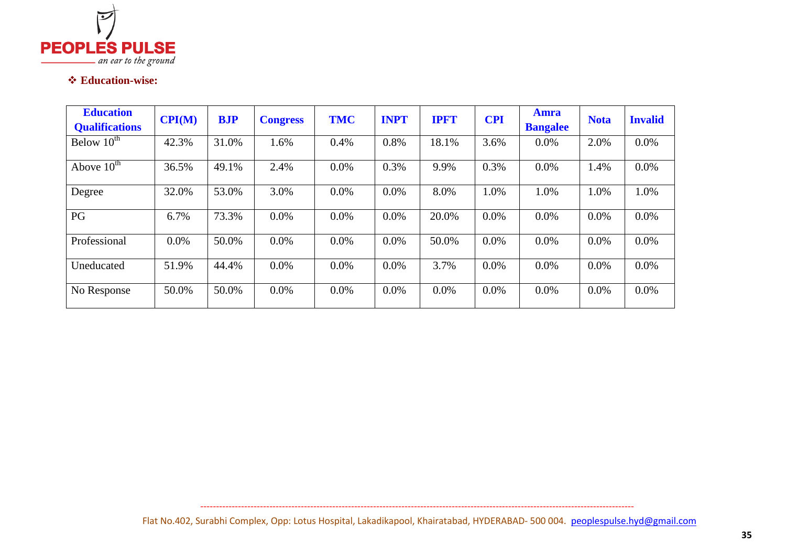

# **Education-wise:**

| <b>Education</b><br><b>Qualifications</b> | CPI(M)  | <b>BJP</b> | <b>Congress</b> | <b>TMC</b> | <b>INPT</b> | <b>IPFT</b> | <b>CPI</b> | <b>Amra</b><br><b>Bangalee</b> | <b>Nota</b> | <b>Invalid</b> |
|-------------------------------------------|---------|------------|-----------------|------------|-------------|-------------|------------|--------------------------------|-------------|----------------|
| Below $10^{th}$                           | 42.3%   | 31.0%      | 1.6%            | 0.4%       | 0.8%        | 18.1%       | 3.6%       | 0.0%                           | 2.0%        | $0.0\%$        |
| Above $10^{th}$                           | 36.5%   | 49.1%      | 2.4%            | 0.0%       | 0.3%        | 9.9%        | 0.3%       | 0.0%                           | 1.4%        | $0.0\%$        |
| Degree                                    | 32.0%   | 53.0%      | 3.0%            | 0.0%       | 0.0%        | 8.0%        | 1.0%       | 1.0%                           | 1.0%        | 1.0%           |
| PG                                        | 6.7%    | 73.3%      | 0.0%            | 0.0%       | 0.0%        | 20.0%       | 0.0%       | 0.0%                           | $0.0\%$     | $0.0\%$        |
| Professional                              | $0.0\%$ | 50.0%      | 0.0%            | 0.0%       | 0.0%        | 50.0%       | 0.0%       | 0.0%                           | $0.0\%$     | 0.0%           |
| Uneducated                                | 51.9%   | 44.4%      | 0.0%            | 0.0%       | 0.0%        | 3.7%        | 0.0%       | 0.0%                           | $0.0\%$     | $0.0\%$        |
| No Response                               | 50.0%   | 50.0%      | $0.0\%$         | $0.0\%$    | 0.0%        | $0.0\%$     | $0.0\%$    | $0.0\%$                        | $0.0\%$     | $0.0\%$        |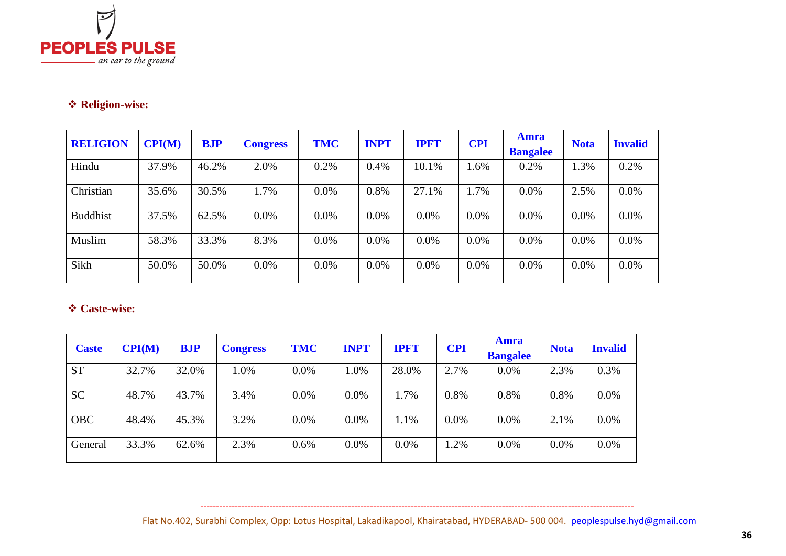

# **Religion-wise:**

| <b>RELIGION</b> | CPI(M) | <b>BJP</b> | <b>Congress</b> | <b>TMC</b> | <b>INPT</b> | <b>IPFT</b> | <b>CPI</b> | <b>Amra</b><br><b>Bangalee</b> | <b>Nota</b> | <b>Invalid</b> |
|-----------------|--------|------------|-----------------|------------|-------------|-------------|------------|--------------------------------|-------------|----------------|
| Hindu           | 37.9%  | 46.2%      | 2.0%            | 0.2%       | 0.4%        | 10.1%       | 1.6%       | 0.2%                           | 1.3%        | 0.2%           |
| Christian       | 35.6%  | 30.5%      | 1.7%            | $0.0\%$    | 0.8%        | 27.1%       | 1.7%       | 0.0%                           | 2.5%        | 0.0%           |
| <b>Buddhist</b> | 37.5%  | 62.5%      | 0.0%            | $0.0\%$    | 0.0%        | $0.0\%$     | 0.0%       | 0.0%                           | $0.0\%$     | $0.0\%$        |
| Muslim          | 58.3%  | 33.3%      | 8.3%            | $0.0\%$    | 0.0%        | 0.0%        | 0.0%       | 0.0%                           | 0.0%        | $0.0\%$        |
| Sikh            | 50.0%  | 50.0%      | 0.0%            | $0.0\%$    | 0.0%        | 0.0%        | 0.0%       | $0.0\%$                        | 0.0%        | $0.0\%$        |

# **Caste-wise:**

| <b>Caste</b> | CPI(M) | <b>BJP</b> | <b>Congress</b> | <b>TMC</b> | <b>INPT</b> | <b>IPFT</b> | <b>CPI</b> | Amra<br><b>Bangalee</b> | <b>Nota</b> | <b>Invalid</b> |
|--------------|--------|------------|-----------------|------------|-------------|-------------|------------|-------------------------|-------------|----------------|
| <b>ST</b>    | 32.7%  | 32.0%      | 1.0%            | $0.0\%$    | 1.0%        | 28.0%       | 2.7%       | 0.0%                    | 2.3%        | 0.3%           |
| <b>SC</b>    | 48.7%  | 43.7%      | 3.4%            | $0.0\%$    | $0.0\%$     | 1.7%        | 0.8%       | 0.8%                    | 0.8%        | $0.0\%$        |
| <b>OBC</b>   | 48.4%  | 45.3%      | 3.2%            | $0.0\%$    | 0.0%        | 1.1%        | 0.0%       | 0.0%                    | 2.1%        | $0.0\%$        |
| General      | 33.3%  | 62.6%      | 2.3%            | 0.6%       | $0.0\%$     | $0.0\%$     | 1.2%       | 0.0%                    | $0.0\%$     | $0.0\%$        |